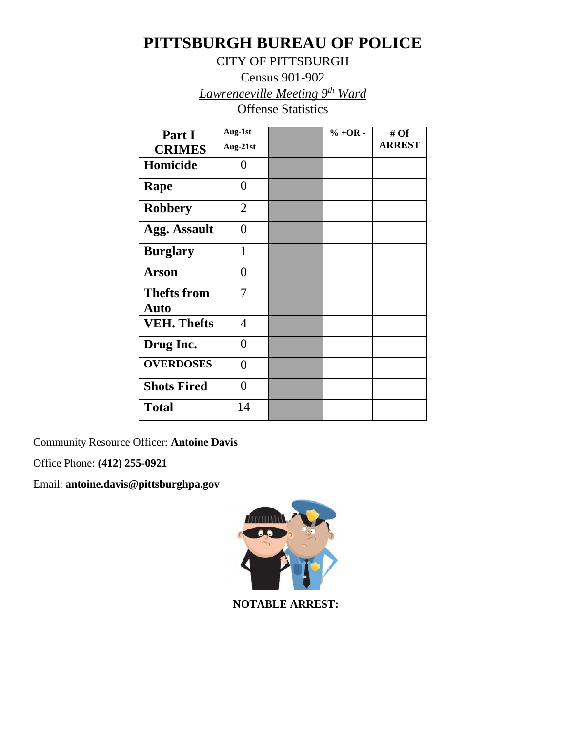# **PITTSBURGH BUREAU OF POLICE**

CITY OF PITTSBURGH

Census 901-902 *Lawrenceville Meeting 9th Ward*

Offense Statistics

| Part I                     | Aug-1st        | $% +OR -$ | # Of          |
|----------------------------|----------------|-----------|---------------|
| <b>CRIMES</b>              | Aug-21st       |           | <b>ARREST</b> |
| Homicide                   | $\theta$       |           |               |
| Rape                       | 0              |           |               |
| <b>Robbery</b>             | $\overline{2}$ |           |               |
| <b>Agg. Assault</b>        | $\theta$       |           |               |
| <b>Burglary</b>            | $\mathbf 1$    |           |               |
| Arson                      | $\theta$       |           |               |
| <b>Thefts from</b><br>Auto | 7              |           |               |
| <b>VEH. Thefts</b>         | $\overline{4}$ |           |               |
| Drug Inc.                  | 0              |           |               |
| <b>OVERDOSES</b>           | 0              |           |               |
| <b>Shots Fired</b>         | 0              |           |               |
| <b>Total</b>               | 14             |           |               |

Community Resource Officer: **Antoine Davis**

Office Phone: **(412) 255-0921**

Email: **antoine.davis@pittsburghpa.gov**



 **NOTABLE ARREST:**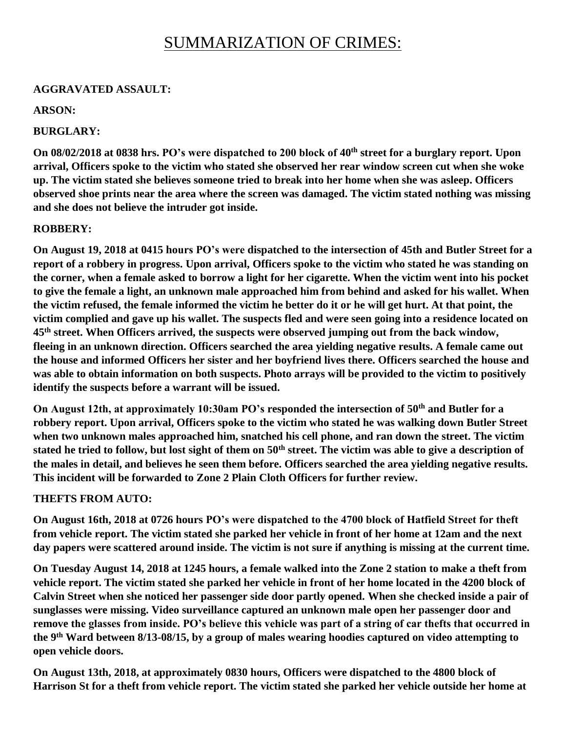## SUMMARIZATION OF CRIMES:

#### **AGGRAVATED ASSAULT:**

#### **ARSON:**

## **BURGLARY:**

**On 08/02/2018 at 0838 hrs. PO's were dispatched to 200 block of 40th street for a burglary report. Upon arrival, Officers spoke to the victim who stated she observed her rear window screen cut when she woke up. The victim stated she believes someone tried to break into her home when she was asleep. Officers observed shoe prints near the area where the screen was damaged. The victim stated nothing was missing and she does not believe the intruder got inside.** 

#### **ROBBERY:**

**On August 19, 2018 at 0415 hours PO's were dispatched to the intersection of 45th and Butler Street for a report of a robbery in progress. Upon arrival, Officers spoke to the victim who stated he was standing on the corner, when a female asked to borrow a light for her cigarette. When the victim went into his pocket to give the female a light, an unknown male approached him from behind and asked for his wallet. When the victim refused, the female informed the victim he better do it or he will get hurt. At that point, the victim complied and gave up his wallet. The suspects fled and were seen going into a residence located on 45th street. When Officers arrived, the suspects were observed jumping out from the back window, fleeing in an unknown direction. Officers searched the area yielding negative results. A female came out the house and informed Officers her sister and her boyfriend lives there. Officers searched the house and was able to obtain information on both suspects. Photo arrays will be provided to the victim to positively identify the suspects before a warrant will be issued.**

**On August 12th, at approximately 10:30am PO's responded the intersection of 50th and Butler for a robbery report. Upon arrival, Officers spoke to the victim who stated he was walking down Butler Street when two unknown males approached him, snatched his cell phone, and ran down the street. The victim stated he tried to follow, but lost sight of them on 50th street. The victim was able to give a description of the males in detail, and believes he seen them before. Officers searched the area yielding negative results. This incident will be forwarded to Zone 2 Plain Cloth Officers for further review.** 

#### **THEFTS FROM AUTO:**

**On August 16th, 2018 at 0726 hours PO's were dispatched to the 4700 block of Hatfield Street for theft from vehicle report. The victim stated she parked her vehicle in front of her home at 12am and the next day papers were scattered around inside. The victim is not sure if anything is missing at the current time.**

**On Tuesday August 14, 2018 at 1245 hours, a female walked into the Zone 2 station to make a theft from vehicle report. The victim stated she parked her vehicle in front of her home located in the 4200 block of Calvin Street when she noticed her passenger side door partly opened. When she checked inside a pair of sunglasses were missing. Video surveillance captured an unknown male open her passenger door and remove the glasses from inside. PO's believe this vehicle was part of a string of car thefts that occurred in the 9th Ward between 8/13-08/15, by a group of males wearing hoodies captured on video attempting to open vehicle doors.** 

**On August 13th, 2018, at approximately 0830 hours, Officers were dispatched to the 4800 block of Harrison St for a theft from vehicle report. The victim stated she parked her vehicle outside her home at**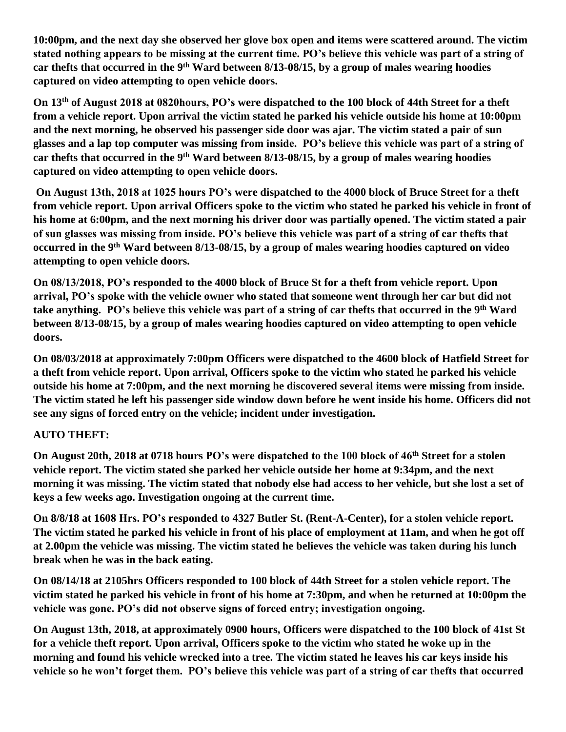**10:00pm, and the next day she observed her glove box open and items were scattered around. The victim stated nothing appears to be missing at the current time. PO's believe this vehicle was part of a string of car thefts that occurred in the 9th Ward between 8/13-08/15, by a group of males wearing hoodies captured on video attempting to open vehicle doors.** 

**On 13th of August 2018 at 0820hours, PO's were dispatched to the 100 block of 44th Street for a theft from a vehicle report. Upon arrival the victim stated he parked his vehicle outside his home at 10:00pm and the next morning, he observed his passenger side door was ajar. The victim stated a pair of sun glasses and a lap top computer was missing from inside. PO's believe this vehicle was part of a string of car thefts that occurred in the 9th Ward between 8/13-08/15, by a group of males wearing hoodies captured on video attempting to open vehicle doors.**

**On August 13th, 2018 at 1025 hours PO's were dispatched to the 4000 block of Bruce Street for a theft from vehicle report. Upon arrival Officers spoke to the victim who stated he parked his vehicle in front of his home at 6:00pm, and the next morning his driver door was partially opened. The victim stated a pair of sun glasses was missing from inside. PO's believe this vehicle was part of a string of car thefts that occurred in the 9th Ward between 8/13-08/15, by a group of males wearing hoodies captured on video attempting to open vehicle doors.** 

**On 08/13/2018, PO's responded to the 4000 block of Bruce St for a theft from vehicle report. Upon arrival, PO's spoke with the vehicle owner who stated that someone went through her car but did not take anything. PO's believe this vehicle was part of a string of car thefts that occurred in the 9th Ward between 8/13-08/15, by a group of males wearing hoodies captured on video attempting to open vehicle doors.**

**On 08/03/2018 at approximately 7:00pm Officers were dispatched to the 4600 block of Hatfield Street for a theft from vehicle report. Upon arrival, Officers spoke to the victim who stated he parked his vehicle outside his home at 7:00pm, and the next morning he discovered several items were missing from inside. The victim stated he left his passenger side window down before he went inside his home. Officers did not see any signs of forced entry on the vehicle; incident under investigation.** 

## **AUTO THEFT:**

**On August 20th, 2018 at 0718 hours PO's were dispatched to the 100 block of 46th Street for a stolen vehicle report. The victim stated she parked her vehicle outside her home at 9:34pm, and the next morning it was missing. The victim stated that nobody else had access to her vehicle, but she lost a set of keys a few weeks ago. Investigation ongoing at the current time.**

**On 8/8/18 at 1608 Hrs. PO's responded to 4327 Butler St. (Rent-A-Center), for a stolen vehicle report. The victim stated he parked his vehicle in front of his place of employment at 11am, and when he got off at 2.00pm the vehicle was missing. The victim stated he believes the vehicle was taken during his lunch break when he was in the back eating.**

**On 08/14/18 at 2105hrs Officers responded to 100 block of 44th Street for a stolen vehicle report. The victim stated he parked his vehicle in front of his home at 7:30pm, and when he returned at 10:00pm the vehicle was gone. PO's did not observe signs of forced entry; investigation ongoing.** 

**On August 13th, 2018, at approximately 0900 hours, Officers were dispatched to the 100 block of 41st St for a vehicle theft report. Upon arrival, Officers spoke to the victim who stated he woke up in the morning and found his vehicle wrecked into a tree. The victim stated he leaves his car keys inside his vehicle so he won't forget them. PO's believe this vehicle was part of a string of car thefts that occurred**